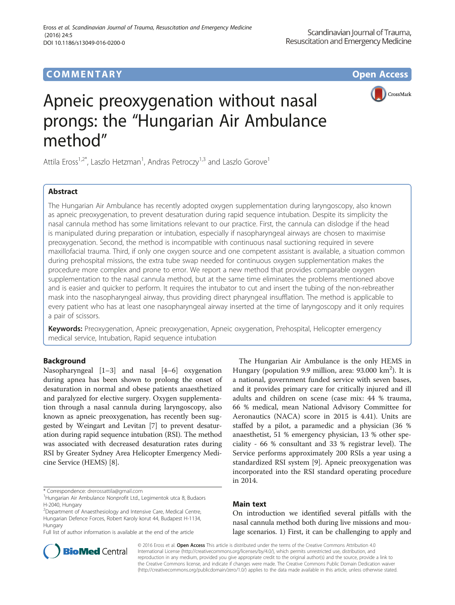## **COMMENTARY COMMENTARY Open Access**



# Apneic preoxygenation without nasal prongs: the "Hungarian Air Ambulance method"

Attila Eross<sup>1,2\*</sup>, Laszlo Hetzman<sup>1</sup>, Andras Petroczy<sup>1,3</sup> and Laszlo Gorove<sup>1</sup>

## Abstract

The Hungarian Air Ambulance has recently adopted oxygen supplementation during laryngoscopy, also known as apneic preoxygenation, to prevent desaturation during rapid sequence intubation. Despite its simplicity the nasal cannula method has some limitations relevant to our practice. First, the cannula can dislodge if the head is manipulated during preparation or intubation, especially if nasopharyngeal airways are chosen to maximise preoxygenation. Second, the method is incompatible with continuous nasal suctioning required in severe maxillofacial trauma. Third, if only one oxygen source and one competent assistant is available, a situation common during prehospital missions, the extra tube swap needed for continuous oxygen supplementation makes the procedure more complex and prone to error. We report a new method that provides comparable oxygen supplementation to the nasal cannula method, but at the same time eliminates the problems mentioned above and is easier and quicker to perform. It requires the intubator to cut and insert the tubing of the non-rebreather mask into the nasopharyngeal airway, thus providing direct pharyngeal insufflation. The method is applicable to every patient who has at least one nasopharyngeal airway inserted at the time of laryngoscopy and it only requires a pair of scissors.

Keywords: Preoxygenation, Apneic preoxygenation, Apneic oxygenation, Prehospital, Helicopter emergency medical service, Intubation, Rapid sequence intubation

## Background

Nasopharyngeal [\[1](#page-2-0)–[3\]](#page-2-0) and nasal [\[4](#page-2-0)–[6](#page-2-0)] oxygenation during apnea has been shown to prolong the onset of desaturation in normal and obese patients anaesthetized and paralyzed for elective surgery. Oxygen supplementation through a nasal cannula during laryngoscopy, also known as apneic preoxygenation, has recently been suggested by Weingart and Levitan [\[7](#page-2-0)] to prevent desaturation during rapid sequence intubation (RSI). The method was associated with decreased desaturation rates during RSI by Greater Sydney Area Helicopter Emergency Medicine Service (HEMS) [\[8\]](#page-2-0).

Full list of author information is available at the end of the article



## Main text

On introduction we identified several pitfalls with the nasal cannula method both during live missions and moulage scenarios. 1) First, it can be challenging to apply and



© 2016 Eross et al. Open Access This article is distributed under the terms of the Creative Commons Attribution 4.0 International License [\(http://creativecommons.org/licenses/by/4.0/](http://creativecommons.org/licenses/by/4.0/)), which permits unrestricted use, distribution, and reproduction in any medium, provided you give appropriate credit to the original author(s) and the source, provide a link to the Creative Commons license, and indicate if changes were made. The Creative Commons Public Domain Dedication waiver [\(http://creativecommons.org/publicdomain/zero/1.0/](http://creativecommons.org/publicdomain/zero/1.0/)) applies to the data made available in this article, unless otherwise stated.

<sup>\*</sup> Correspondence: [drerossattila@gmail.com](mailto:drerossattila@gmail.com) <sup>1</sup>

<sup>&</sup>lt;sup>1</sup>Hungarian Air Ambulance Nonprofit Ltd., Legimentok utca 8, Budaors H-2040, Hungary

<sup>&</sup>lt;sup>2</sup>Department of Anaesthesiology and Intensive Care, Medical Centre, Hungarian Defence Forces, Robert Karoly korut 44, Budapest H-1134, Hungary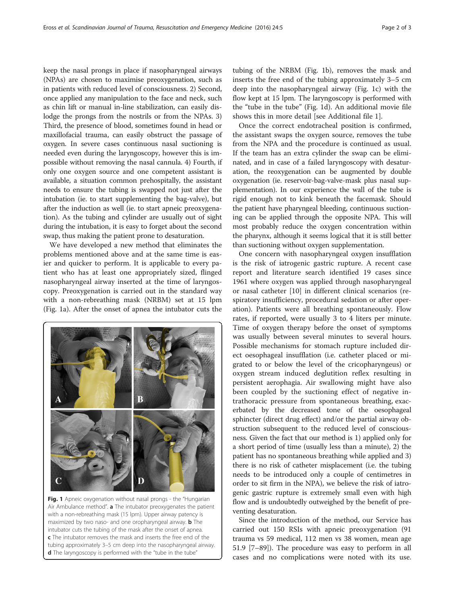keep the nasal prongs in place if nasopharyngeal airways (NPAs) are chosen to maximise preoxygenation, such as in patients with reduced level of consciousness. 2) Second, once applied any manipulation to the face and neck, such as chin lift or manual in-line stabilization, can easily dislodge the prongs from the nostrils or from the NPAs. 3) Third, the presence of blood, sometimes found in head or maxillofacial trauma, can easily obstruct the passage of oxygen. In severe cases continuous nasal suctioning is needed even during the laryngoscopy, however this is impossible without removing the nasal cannula. 4) Fourth, if only one oxygen source and one competent assistant is available, a situation common prehospitally, the assistant needs to ensure the tubing is swapped not just after the intubation (ie. to start supplementing the bag-valve), but after the induction as well (ie. to start apneic preoxygenation). As the tubing and cylinder are usually out of sight during the intubation, it is easy to forget about the second swap, thus making the patient prone to desaturation.

We have developed a new method that eliminates the problems mentioned above and at the same time is easier and quicker to perform. It is applicable to every patient who has at least one appropriately sized, flinged nasopharyngeal airway inserted at the time of laryngoscopy. Preoxygenation is carried out in the standard way with a non-rebreathing mask (NRBM) set at 15 lpm (Fig. 1a). After the onset of apnea the intubator cuts the



Fig. 1 Apneic oxygenation without nasal prongs - the "Hungarian Air Ambulance method". a The intubator preoxygenates the patient with a non-rebreathing mask (15 lpm). Upper airway patency is maximized by two naso- and one oropharyngeal airway. **b** The intubator cuts the tubing of the mask after the onset of apnea. c The intubator removes the mask and inserts the free end of the tubing approximately 3–5 cm deep into the nasopharyngeal airway. d The laryngoscopy is performed with the "tube in the tube"

tubing of the NRBM (Fig. 1b), removes the mask and inserts the free end of the tubing approximately 3–5 cm deep into the nasopharyngeal airway (Fig. 1c) with the flow kept at 15 lpm. The laryngoscopy is performed with the "tube in the tube" (Fig. 1d). An additional movie file shows this in more detail [see Additional file [1\]](#page-2-0).

Once the correct endotracheal position is confirmed, the assistant swaps the oxygen source, removes the tube from the NPA and the procedure is continued as usual. If the team has an extra cylinder the swap can be eliminated, and in case of a failed laryngoscopy with desaturation, the reoxygenation can be augmented by double oxygenation (ie. reservoir-bag-valve-mask plus nasal supplementation). In our experience the wall of the tube is rigid enough not to kink beneath the facemask. Should the patient have pharyngeal bleeding, continuous suctioning can be applied through the opposite NPA. This will most probably reduce the oxygen concentration within the pharynx, although it seems logical that it is still better than suctioning without oxygen supplementation.

One concern with nasopharyngeal oxygen insufflation is the risk of iatrogenic gastric rupture. A recent case report and literature search identified 19 cases since 1961 where oxygen was applied through nasopharyngeal or nasal catheter [\[10\]](#page-2-0) in different clinical scenarios (respiratory insufficiency, procedural sedation or after operation). Patients were all breathing spontaneously. Flow rates, if reported, were usually 3 to 4 liters per minute. Time of oxygen therapy before the onset of symptoms was usually between several minutes to several hours. Possible mechanisms for stomach rupture included direct oesophageal insufflation (i.e. catheter placed or migrated to or below the level of the cricopharyngeus) or oxygen stream induced deglutition reflex resulting in persistent aerophagia. Air swallowing might have also been coupled by the suctioning effect of negative intrathoracic pressure from spontaneous breathing, exacerbated by the decreased tone of the oesophageal sphincter (direct drug effect) and/or the partial airway obstruction subsequent to the reduced level of consciousness. Given the fact that our method is 1) applied only for a short period of time (usually less than a minute), 2) the patient has no spontaneous breathing while applied and 3) there is no risk of catheter misplacement (i.e. the tubing needs to be introduced only a couple of centimetres in order to sit firm in the NPA), we believe the risk of iatrogenic gastric rupture is extremely small even with high flow and is undoubtedly outweighed by the benefit of preventing desaturation.

Since the introduction of the method, our Service has carried out 150 RSIs with apneic preoxygenation (91 trauma vs 59 medical, 112 men vs 38 women, mean age 51.9 [7–89]). The procedure was easy to perform in all cases and no complications were noted with its use.